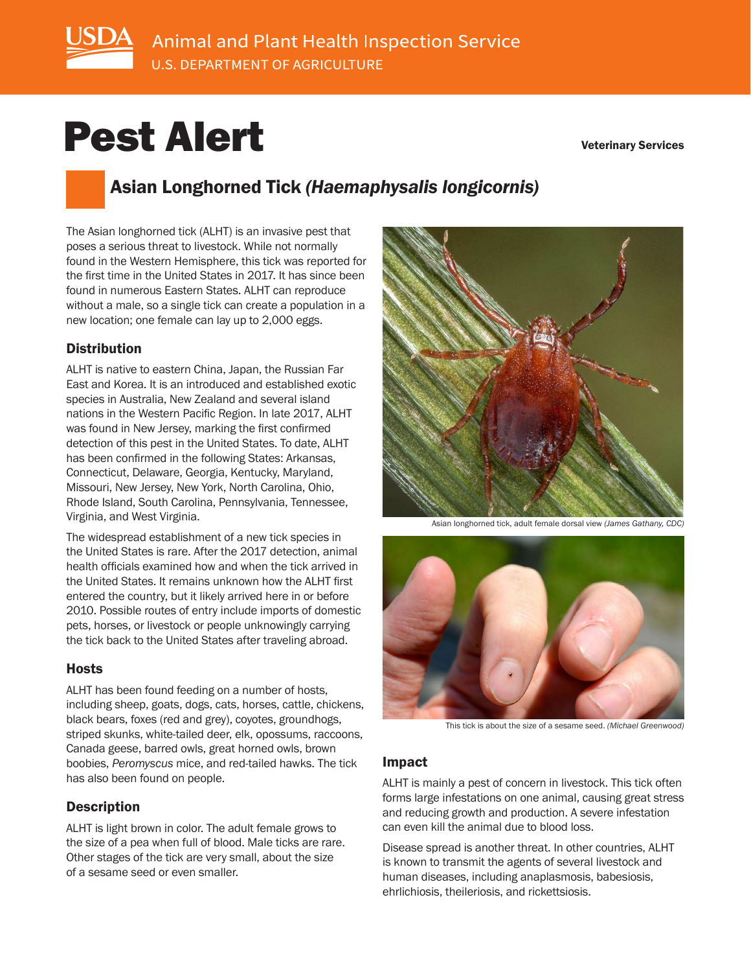

# Pest Alert

#### Veterinary Services

# Asian Longhorned Tick *(Haemaphysalis longicornis)*

The Asian longhorned tick (ALHT) is an invasive pest that poses a serious threat to livestock. While not normally found in the Western Hemisphere, this tick was reported for the first time in the United States in 2017. It has since been found in numerous Eastern States. ALHT can reproduce without a male, so a single tick can create a population in a new location; one female can lay up to 2,000 eggs.

#### **Distribution**

ALHT is native to eastern China, Japan, the Russian Far East and Korea. It is an introduced and established exotic species in Australia, New Zealand and several island nations in the Western Pacific Region. In late 2017, ALHT was found in New Jersey, marking the first confirmed detection of this pest in the United States. To date, ALHT has been confirmed in the following States: Arkansas, Connecticut, Delaware, Georgia, Kentucky, Maryland, Missouri, New Jersey, New York, North Carolina, Ohio, Rhode Island, South Carolina, Pennsylvania, Tennessee, Virginia, and West Virginia.

The widespread establishment of a new tick species in the United States is rare. After the 2017 detection, animal health officials examined how and when the tick arrived in the United States. It remains unknown how the ALHT first entered the country, but it likely arrived here in or before 2010. Possible routes of entry include imports of domestic pets, horses, or livestock or people unknowingly carrying the tick back to the United States after traveling abroad.

### Hosts

ALHT has been found feeding on a number of hosts, including sheep, goats, dogs, cats, horses, cattle, chickens, black bears, foxes (red and grey), coyotes, groundhogs, striped skunks, white-tailed deer, elk, opossums, raccoons, Canada geese, barred owls, great horned owls, brown boobies, *Peromyscus* mice, and red-tailed hawks. The tick has also been found on people.

### **Description**

ALHT is light brown in color. The adult female grows to the size of a pea when full of blood. Male ticks are rare. Other stages of the tick are very small, about the size of a sesame seed or even smaller.



Asian longhorned tick, adult female dorsal view *(James Gathany, CDC)*



This tick is about the size of a sesame seed. *(Michael Greenwood)*

#### Impact

ALHT is mainly a pest of concern in livestock. This tick often forms large infestations on one animal, causing great stress and reducing growth and production. A severe infestation can even kill the animal due to blood loss.

Disease spread is another threat. In other countries, ALHT is known to transmit the agents of several livestock and human diseases, including anaplasmosis, babesiosis, ehrlichiosis, theileriosis, and rickettsiosis.